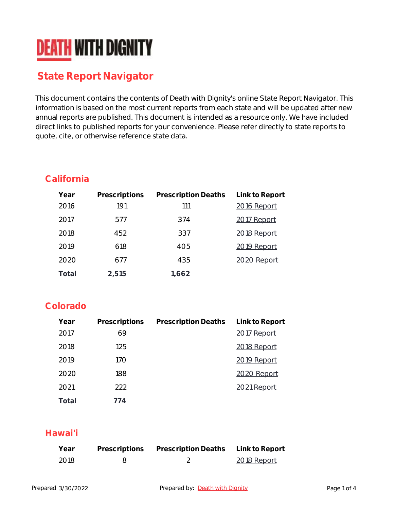# **DEATH WITH DIGNITY**

# **State Report Navigator**

This document contains the contents of Death with Dignity's online State Report Navigator. This information is based on the most current reports from each state and will be updated after new annual reports are published. This document is intended as a resource only. We have included direct links to published reports for your convenience. Please refer directly to state reports to quote, cite, or otherwise reference state data.

#### **California**

| Year  | Prescriptions | <b>Prescription Deaths</b> | Link to Report |
|-------|---------------|----------------------------|----------------|
| 2016  | 191           | 111                        | 2016 Report    |
| 2017  | 577           | 374                        | 2017 Report    |
| 2018  | 452           | 337                        | 2018 Report    |
| 2019  | 618           | 405                        | 2019 Report    |
| 2020  | 677           | 435                        | 2020 Report    |
| Total | 2,515         | 1,662                      |                |

#### **Colorado**

| Year  | Prescriptions | <b>Prescription Deaths</b> | Link to Report |
|-------|---------------|----------------------------|----------------|
| 2017  | 69            |                            | 2017 Report    |
| 2018  | 125           |                            | 2018 Report    |
| 2019  | 170           |                            | 2019 Report    |
| 2020  | 188           |                            | 2020 Report    |
| 2021  | 222           |                            | 2021 Report    |
| Total | 774           |                            |                |

#### **Hawai'i**

| Year | Prescriptions | <b>Prescription Deaths</b> | Link to Report |
|------|---------------|----------------------------|----------------|
| 2018 |               |                            | 2018 Report    |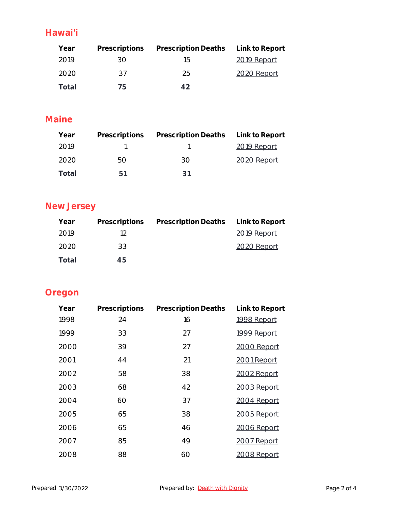### **Hawai'i**

| Year  |     | Prescriptions Prescription Deaths Link to Report |             |
|-------|-----|--------------------------------------------------|-------------|
| 2019  | 30. | 1.h                                              | 2019 Report |
| 2020  | 37  | 25                                               | 2020 Report |
| Total | /h  | A D                                              |             |

#### **Maine**

| Year  |     | Prescriptions Prescription Deaths Link to Report |             |
|-------|-----|--------------------------------------------------|-------------|
| 2019  |     |                                                  | 2019 Report |
| 2020  | 50. | 30.                                              | 2020 Report |
| Total | 51  | -21                                              |             |

# **New Jersey**

| Year  |                | Prescriptions Prescription Deaths Link to Report |             |
|-------|----------------|--------------------------------------------------|-------------|
| 2019  | 12             |                                                  | 2019 Report |
| 2020  | 33             |                                                  | 2020 Report |
| Total | 4 <sub>b</sub> |                                                  |             |

## **Oregon**

| Year | Prescriptions | <b>Prescription Deaths</b> | Link to Report |
|------|---------------|----------------------------|----------------|
| 1998 | 24            | 16                         | 1998 Report    |
| 1999 | 33            | 27                         | 1999 Report    |
| 2000 | 39            | 27                         | 2000 Report    |
| 2001 | 44            | 21                         | 2001 Report    |
| 2002 | 58            | 38                         | 2002 Report    |
| 2003 | 68            | 42                         | 2003 Report    |
| 2004 | 60            | 37                         | 2004 Report    |
| 2005 | 65            | 38                         | 2005 Report    |
| 2006 | 65            | 46                         | 2006 Report    |
| 2007 | 85            | 49                         | 2007 Report    |
| 2008 | 88            | 60                         | 2008 Report    |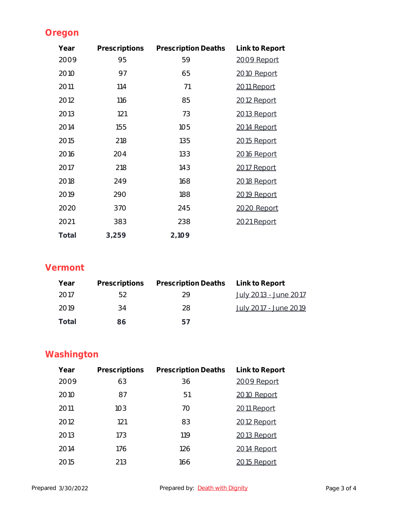## **Oregon**

| Year  | Prescriptions | <b>Prescription Deaths</b> | Link to Report     |
|-------|---------------|----------------------------|--------------------|
| 2009  | 95            | 59                         | 2009 Report        |
| 2010  | 97            | 65                         | 2010 Report        |
| 2011  | 114           | 71                         | 2011 Report        |
| 2012  | 116           | 85                         | 2012 Report        |
| 2013  | 121           | 73                         | 2013 Report        |
| 2014  | 155           | 105                        | 2014 Report        |
| 2015  | 218           | 135                        | 2015 Report        |
| 2016  | 204           | 133                        | <u>2016 Report</u> |
| 2017  | 218           | 143                        | 2017 Report        |
| 2018  | 249           | 168                        | 2018 Report        |
| 2019  | 290           | 188                        | 2019 Report        |
| 2020  | 370           | 245                        | 2020 Report        |
| 2021  | 383           | 238                        | 2021 Report        |
| Total | 3,259         | 2,109                      |                    |

## **Vermont**

| Year  |    | Prescriptions Prescription Deaths Link to Report |                              |
|-------|----|--------------------------------------------------|------------------------------|
| 2017  | 52 | 29                                               | <u>July 2013 - June 2017</u> |
| 2019  | 34 | 28                                               | <u>July 2017 - June 2019</u> |
| Total | 86 | h/                                               |                              |

# **Washington**

| Year | Prescriptions | <b>Prescription Deaths</b> | Link to Report |
|------|---------------|----------------------------|----------------|
| 2009 | 63            | 36                         | 2009 Report    |
| 2010 | 87            | 51                         | 2010 Report    |
| 2011 | 103           | 70                         | 2011 Report    |
| 2012 | 121           | 83                         | 2012 Report    |
| 2013 | 173           | 119                        | 2013 Report    |
| 2014 | 176           | 126                        | 2014 Report    |
| 2015 | 213           | 166                        | 15 Report      |